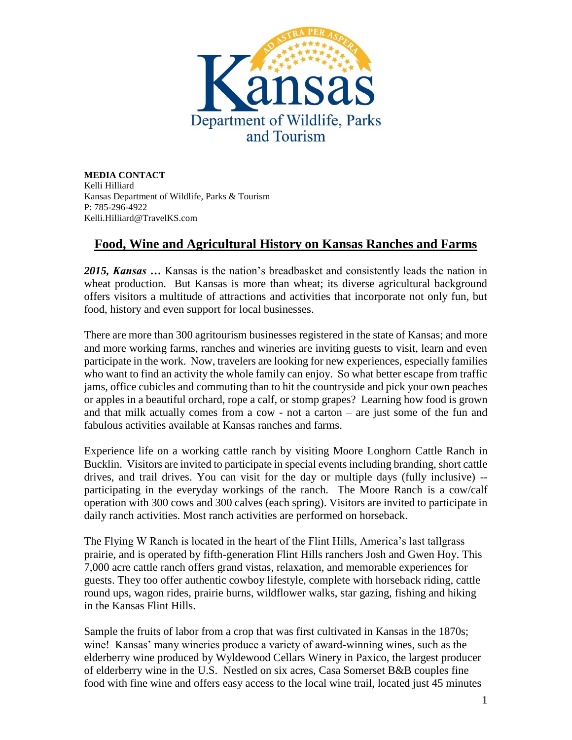

**MEDIA CONTACT** Kelli Hilliard Kansas Department of Wildlife, Parks & Tourism P: 785-296-4922 Kelli.Hilliard@TravelKS.com

## **Food, Wine and Agricultural History on Kansas Ranches and Farms**

*2015, Kansas …* Kansas is the nation's breadbasket and consistently leads the nation in wheat production. But Kansas is more than wheat; its diverse agricultural background offers visitors a multitude of attractions and activities that incorporate not only fun, but food, history and even support for local businesses.

There are more than 300 agritourism businesses registered in the state of Kansas; and more and more working farms, ranches and wineries are inviting guests to visit, learn and even participate in the work. Now, travelers are looking for new experiences, especially families who want to find an activity the whole family can enjoy. So what better escape from traffic jams, office cubicles and commuting than to hit the countryside and pick your own peaches or apples in a beautiful orchard, rope a calf, or stomp grapes? Learning how food is grown and that milk actually comes from a cow - not a carton – are just some of the fun and fabulous activities available at Kansas ranches and farms.

Experience life on a working cattle ranch by visiting Moore Longhorn Cattle Ranch in Bucklin. Visitors are invited to participate in special events including branding, short cattle drives, and trail drives. You can visit for the day or multiple days (fully inclusive) - participating in the everyday workings of the ranch. The Moore Ranch is a cow/calf operation with 300 cows and 300 calves (each spring). Visitors are invited to participate in daily ranch activities. Most ranch activities are performed on horseback.

The Flying W Ranch is located in the heart of the Flint Hills, America's last tallgrass prairie, and is operated by fifth-generation Flint Hills ranchers Josh and Gwen Hoy. This 7,000 acre cattle ranch offers grand vistas, relaxation, and memorable experiences for guests. They too offer authentic cowboy lifestyle, complete with horseback riding, cattle round ups, wagon rides, prairie burns, wildflower walks, star gazing, fishing and hiking in the Kansas Flint Hills.

Sample the fruits of labor from a crop that was first cultivated in Kansas in the 1870s; wine! Kansas' many wineries produce a variety of award-winning wines, such as the elderberry wine produced by Wyldewood Cellars Winery in Paxico, the largest producer of elderberry wine in the U.S. Nestled on six acres, Casa Somerset B&B couples fine food with fine wine and offers easy access to the local wine trail, located just 45 minutes